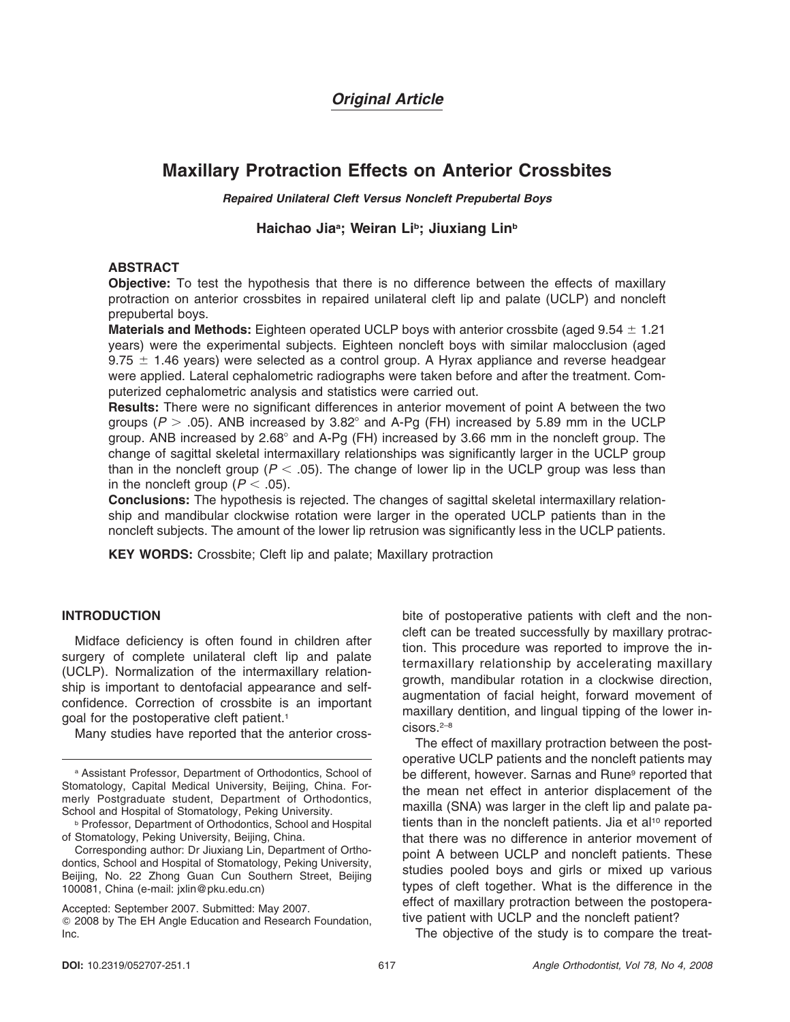# *Original Article*

# **Maxillary Protraction Effects on Anterior Crossbites**

*Repaired Unilateral Cleft Versus Noncleft Prepubertal Boys*

# Haichao Jia<sup>a</sup>; Weiran Li<sup>b</sup>; Jiuxiang Lin<sup>b</sup>

# **ABSTRACT**

**Objective:** To test the hypothesis that there is no difference between the effects of maxillary protraction on anterior crossbites in repaired unilateral cleft lip and palate (UCLP) and noncleft prepubertal boys.

**Materials and Methods:** Eighteen operated UCLP boys with anterior crossbite (aged 9.54  $\pm$  1.21 years) were the experimental subjects. Eighteen noncleft boys with similar malocclusion (aged 9.75  $\pm$  1.46 years) were selected as a control group. A Hyrax appliance and reverse headgear were applied. Lateral cephalometric radiographs were taken before and after the treatment. Computerized cephalometric analysis and statistics were carried out.

**Results:** There were no significant differences in anterior movement of point A between the two groups ( $P > .05$ ). ANB increased by 3.82° and A-Pg (FH) increased by 5.89 mm in the UCLP group. ANB increased by 2.68° and A-Pg (FH) increased by 3.66 mm in the noncleft group. The change of sagittal skeletal intermaxillary relationships was significantly larger in the UCLP group than in the noncleft group ( $P < .05$ ). The change of lower lip in the UCLP group was less than in the noncleft group  $(P < .05)$ .

**Conclusions:** The hypothesis is rejected. The changes of sagittal skeletal intermaxillary relationship and mandibular clockwise rotation were larger in the operated UCLP patients than in the noncleft subjects. The amount of the lower lip retrusion was significantly less in the UCLP patients.

**KEY WORDS:** Crossbite; Cleft lip and palate; Maxillary protraction

## **INTRODUCTION**

Midface deficiency is often found in children after surgery of complete unilateral cleft lip and palate (UCLP). Normalization of the intermaxillary relationship is important to dentofacial appearance and selfconfidence. Correction of crossbite is an important goal for the postoperative cleft patient.<sup>1</sup>

Many studies have reported that the anterior cross-

Accepted: September 2007. Submitted: May 2007. - 2008 by The EH Angle Education and Research Foundation, Inc.

bite of postoperative patients with cleft and the noncleft can be treated successfully by maxillary protraction. This procedure was reported to improve the intermaxillary relationship by accelerating maxillary growth, mandibular rotation in a clockwise direction, augmentation of facial height, forward movement of maxillary dentition, and lingual tipping of the lower incisors.2–8

The effect of maxillary protraction between the postoperative UCLP patients and the noncleft patients may be different, however. Sarnas and Rune<sup>9</sup> reported that the mean net effect in anterior displacement of the maxilla (SNA) was larger in the cleft lip and palate patients than in the noncleft patients. Jia et al<sup>10</sup> reported that there was no difference in anterior movement of point A between UCLP and noncleft patients. These studies pooled boys and girls or mixed up various types of cleft together. What is the difference in the effect of maxillary protraction between the postoperative patient with UCLP and the noncleft patient?

The objective of the study is to compare the treat-

<sup>a</sup> Assistant Professor, Department of Orthodontics, School of Stomatology, Capital Medical University, Beijing, China. Formerly Postgraduate student, Department of Orthodontics, School and Hospital of Stomatology, Peking University.

**b Professor, Department of Orthodontics, School and Hospital** of Stomatology, Peking University, Beijing, China.

Corresponding author: Dr Jiuxiang Lin, Department of Orthodontics, School and Hospital of Stomatology, Peking University, Beijing, No. 22 Zhong Guan Cun Southern Street, Beijing 100081, China (e-mail: jxlin@pku.edu.cn)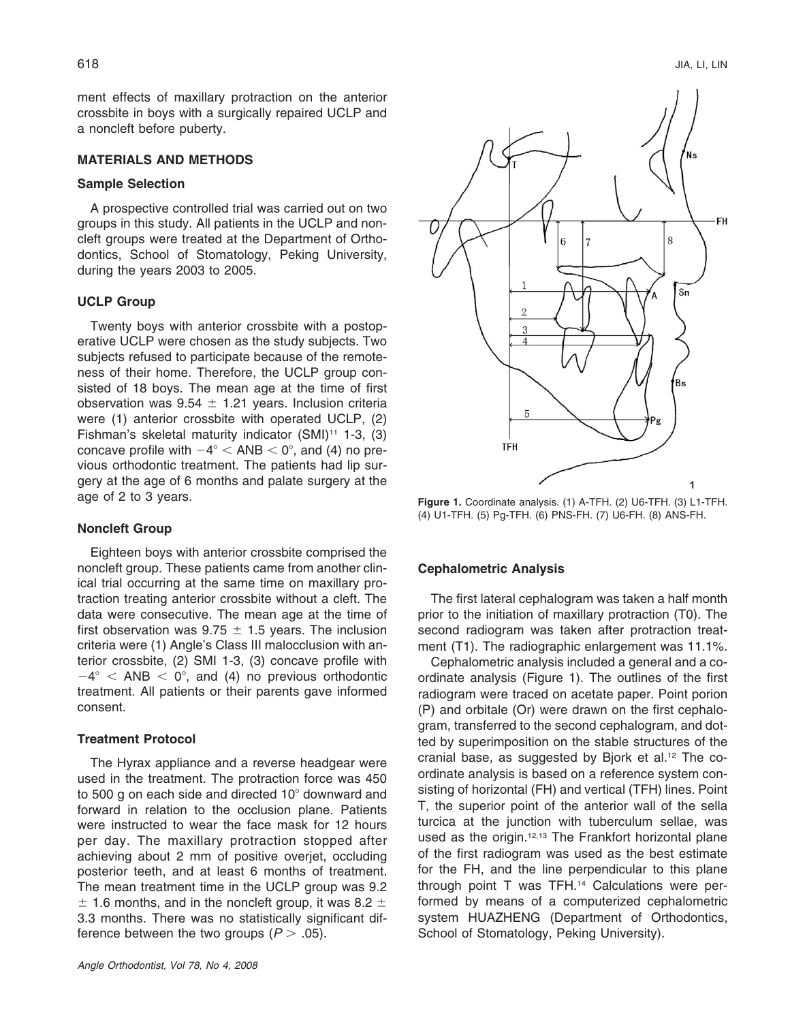ment effects of maxillary protraction on the anterior crossbite in boys with a surgically repaired UCLP and a noncleft before puberty.

### **MATERIALS AND METHODS**

## **Sample Selection**

A prospective controlled trial was carried out on two groups in this study. All patients in the UCLP and noncleft groups were treated at the Department of Orthodontics, School of Stomatology, Peking University, during the years 2003 to 2005.

#### **UCLP Group**

Twenty boys with anterior crossbite with a postoperative UCLP were chosen as the study subjects. Two subjects refused to participate because of the remoteness of their home. Therefore, the UCLP group consisted of 18 boys. The mean age at the time of first observation was 9.54  $\pm$  1.21 years. Inclusion criteria were (1) anterior crossbite with operated UCLP, (2) Fishman's skeletal maturity indicator  $(SMI)^{11}$  1-3, (3) concave profile with  $-4^{\circ}$  < ANB < 0°, and (4) no previous orthodontic treatment. The patients had lip surgery at the age of 6 months and palate surgery at the age of 2 to 3 years.

#### **Noncleft Group**

Eighteen boys with anterior crossbite comprised the noncleft group. These patients came from another clinical trial occurring at the same time on maxillary protraction treating anterior crossbite without a cleft. The data were consecutive. The mean age at the time of first observation was 9.75  $\pm$  1.5 years. The inclusion criteria were (1) Angle's Class III malocclusion with anterior crossbite, (2) SMI 1-3, (3) concave profile with  $-4^{\circ}$  < ANB < 0°, and (4) no previous orthodontic treatment. All patients or their parents gave informed consent.

## **Treatment Protocol**

The Hyrax appliance and a reverse headgear were used in the treatment. The protraction force was 450 to 500 g on each side and directed  $10^{\circ}$  downward and forward in relation to the occlusion plane. Patients were instructed to wear the face mask for 12 hours per day. The maxillary protraction stopped after achieving about 2 mm of positive overjet, occluding posterior teeth, and at least 6 months of treatment. The mean treatment time in the UCLP group was 9.2  $\pm$  1.6 months, and in the noncleft group, it was 8.2  $\pm$ 3.3 months. There was no statistically significant difference between the two groups  $(P > .05)$ .



**Figure 1.** Coordinate analysis. (1) A-TFH. (2) U6-TFH. (3) L1-TFH. (4) U1-TFH. (5) Pg-TFH. (6) PNS-FH. (7) U6-FH. (8) ANS-FH.

#### **Cephalometric Analysis**

The first lateral cephalogram was taken a half month prior to the initiation of maxillary protraction (T0). The second radiogram was taken after protraction treatment (T1). The radiographic enlargement was 11.1%.

Cephalometric analysis included a general and a coordinate analysis (Figure 1). The outlines of the first radiogram were traced on acetate paper. Point porion (P) and orbitale (Or) were drawn on the first cephalogram, transferred to the second cephalogram, and dotted by superimposition on the stable structures of the cranial base, as suggested by Bjork et al.12 The coordinate analysis is based on a reference system consisting of horizontal (FH) and vertical (TFH) lines. Point T, the superior point of the anterior wall of the sella turcica at the junction with tuberculum sellae, was used as the origin.<sup>12,13</sup> The Frankfort horizontal plane of the first radiogram was used as the best estimate for the FH, and the line perpendicular to this plane through point T was TFH.14 Calculations were performed by means of a computerized cephalometric system HUAZHENG (Department of Orthodontics, School of Stomatology, Peking University).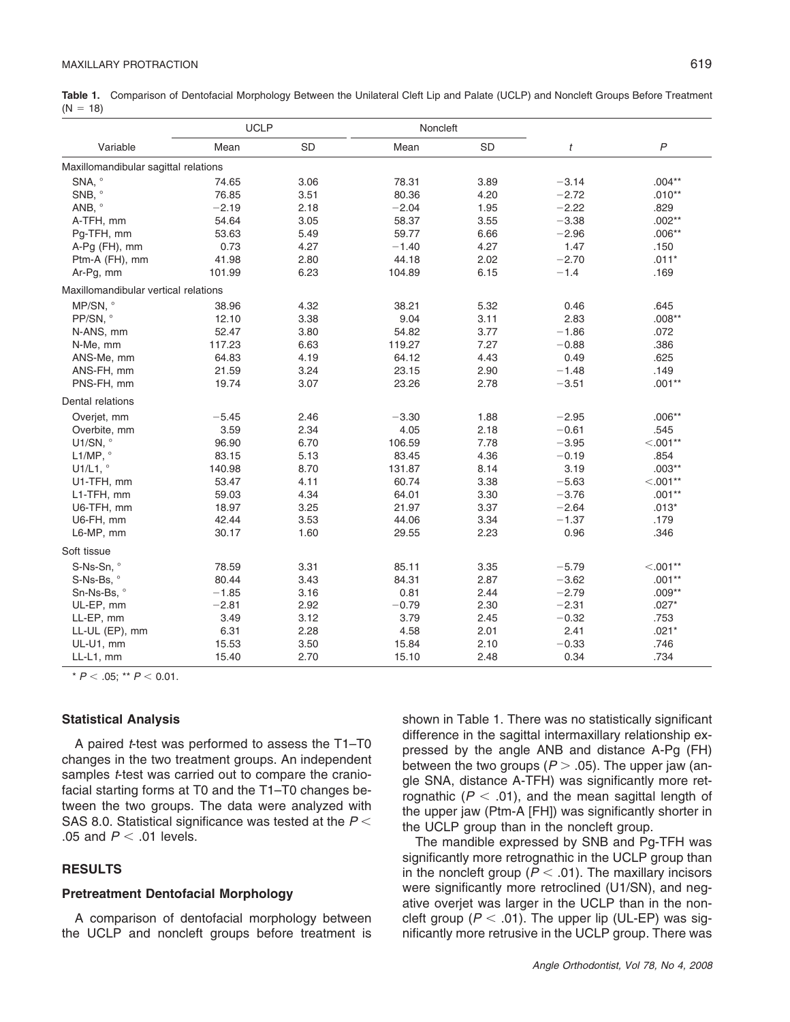Table 1. Comparison of Dentofacial Morphology Between the Unilateral Cleft Lip and Palate (UCLP) and Noncleft Groups Before Treatment  $(N = 18)$ 

|                                      | <b>UCLP</b> |           | Noncleft |           |         |                |  |  |  |  |  |
|--------------------------------------|-------------|-----------|----------|-----------|---------|----------------|--|--|--|--|--|
| Variable                             | Mean        | <b>SD</b> | Mean     | <b>SD</b> | t       | $\overline{P}$ |  |  |  |  |  |
| Maxillomandibular sagittal relations |             |           |          |           |         |                |  |  |  |  |  |
| SNA, °                               | 74.65       | 3.06      | 78.31    | 3.89      | $-3.14$ | $.004***$      |  |  |  |  |  |
| SNB, °                               | 76.85       | 3.51      | 80.36    | 4.20      | $-2.72$ | $.010**$       |  |  |  |  |  |
| ANB, °                               | $-2.19$     | 2.18      | $-2.04$  | 1.95      | $-2.22$ | .829           |  |  |  |  |  |
| A-TFH, mm                            | 54.64       | 3.05      | 58.37    | 3.55      | $-3.38$ | $.002**$       |  |  |  |  |  |
| Pg-TFH, mm                           | 53.63       | 5.49      | 59.77    | 6.66      | $-2.96$ | $.006**$       |  |  |  |  |  |
| $A-Pg$ (FH), mm                      | 0.73        | 4.27      | $-1.40$  | 4.27      | 1.47    | .150           |  |  |  |  |  |
| Ptm-A (FH), mm                       | 41.98       | 2.80      | 44.18    | 2.02      | $-2.70$ | $.011*$        |  |  |  |  |  |
| Ar-Pg, mm                            | 101.99      | 6.23      | 104.89   | 6.15      | $-1.4$  | .169           |  |  |  |  |  |
| Maxillomandibular vertical relations |             |           |          |           |         |                |  |  |  |  |  |
| MP/SN, °                             | 38.96       | 4.32      | 38.21    | 5.32      | 0.46    | .645           |  |  |  |  |  |
| PP/SN, °                             | 12.10       | 3.38      | 9.04     | 3.11      | 2.83    | $.008**$       |  |  |  |  |  |
| N-ANS, mm                            | 52.47       | 3.80      | 54.82    | 3.77      | $-1.86$ | .072           |  |  |  |  |  |
| N-Me, mm                             | 117.23      | 6.63      | 119.27   | 7.27      | $-0.88$ | .386           |  |  |  |  |  |
| ANS-Me, mm                           | 64.83       | 4.19      | 64.12    | 4.43      | 0.49    | .625           |  |  |  |  |  |
| ANS-FH, mm                           | 21.59       | 3.24      | 23.15    | 2.90      | $-1.48$ | .149           |  |  |  |  |  |
| PNS-FH, mm                           | 19.74       | 3.07      | 23.26    | 2.78      | $-3.51$ | $.001**$       |  |  |  |  |  |
| Dental relations                     |             |           |          |           |         |                |  |  |  |  |  |
| Overjet, mm                          | $-5.45$     | 2.46      | $-3.30$  | 1.88      | $-2.95$ | $.006**$       |  |  |  |  |  |
| Overbite, mm                         | 3.59        | 2.34      | 4.05     | 2.18      | $-0.61$ | .545           |  |  |  |  |  |
| U1/SN, $^{\circ}$                    | 96.90       | 6.70      | 106.59   | 7.78      | $-3.95$ | $< 0.01**$     |  |  |  |  |  |
| L1/MP, $^{\circ}$                    | 83.15       | 5.13      | 83.45    | 4.36      | $-0.19$ | .854           |  |  |  |  |  |
| U1/L1, $^{\circ}$                    | 140.98      | 8.70      | 131.87   | 8.14      | 3.19    | $.003**$       |  |  |  |  |  |
| U1-TFH, mm                           | 53.47       | 4.11      | 60.74    | 3.38      | $-5.63$ | $< .001**$     |  |  |  |  |  |
| L1-TFH, mm                           | 59.03       | 4.34      | 64.01    | 3.30      | $-3.76$ | $.001**$       |  |  |  |  |  |
| U6-TFH, mm                           | 18.97       | 3.25      | 21.97    | 3.37      | $-2.64$ | $.013*$        |  |  |  |  |  |
| U6-FH, mm                            | 42.44       | 3.53      | 44.06    | 3.34      | $-1.37$ | .179           |  |  |  |  |  |
| L6-MP, mm                            | 30.17       | 1.60      | 29.55    | 2.23      | 0.96    | .346           |  |  |  |  |  |
| Soft tissue                          |             |           |          |           |         |                |  |  |  |  |  |
| S-Ns-Sn, °                           | 78.59       | 3.31      | 85.11    | 3.35      | $-5.79$ | $< .001**$     |  |  |  |  |  |
| S-Ns-Bs, °                           | 80.44       | 3.43      | 84.31    | 2.87      | $-3.62$ | $.001**$       |  |  |  |  |  |
| Sn-Ns-Bs, °                          | $-1.85$     | 3.16      | 0.81     | 2.44      | $-2.79$ | $.009**$       |  |  |  |  |  |
| UL-EP, mm                            | $-2.81$     | 2.92      | $-0.79$  | 2.30      | $-2.31$ | $.027*$        |  |  |  |  |  |
| LL-EP, mm                            | 3.49        | 3.12      | 3.79     | 2.45      | $-0.32$ | .753           |  |  |  |  |  |
| LL-UL (EP), mm                       | 6.31        | 2.28      | 4.58     | 2.01      | 2.41    | $.021*$        |  |  |  |  |  |
| UL-U1, mm                            | 15.53       | 3.50      | 15.84    | 2.10      | $-0.33$ | .746           |  |  |  |  |  |
| LL-L1, mm                            | 15.40       | 2.70      | 15.10    | 2.48      | 0.34    | .734           |  |  |  |  |  |

 $*$  *P*  $<$  .05; \*\* *P*  $<$  0.01.

#### **Statistical Analysis**

A paired *t*-test was performed to assess the T1–T0 changes in the two treatment groups. An independent samples *t*-test was carried out to compare the craniofacial starting forms at T0 and the T1–T0 changes between the two groups. The data were analyzed with SAS 8.0. Statistical significance was tested at the *P* .05 and  $P < .01$  levels.

# **RESULTS**

## **Pretreatment Dentofacial Morphology**

A comparison of dentofacial morphology between the UCLP and noncleft groups before treatment is shown in Table 1. There was no statistically significant difference in the sagittal intermaxillary relationship expressed by the angle ANB and distance A-Pg (FH) between the two groups  $(P > .05)$ . The upper jaw (angle SNA, distance A-TFH) was significantly more retrognathic  $(P < .01)$ , and the mean sagittal length of the upper jaw (Ptm-A [FH]) was significantly shorter in the UCLP group than in the noncleft group.

The mandible expressed by SNB and Pg-TFH was significantly more retrognathic in the UCLP group than in the noncleft group ( $P < .01$ ). The maxillary incisors were significantly more retroclined (U1/SN), and negative overjet was larger in the UCLP than in the noncleft group ( $P < .01$ ). The upper lip (UL-EP) was significantly more retrusive in the UCLP group. There was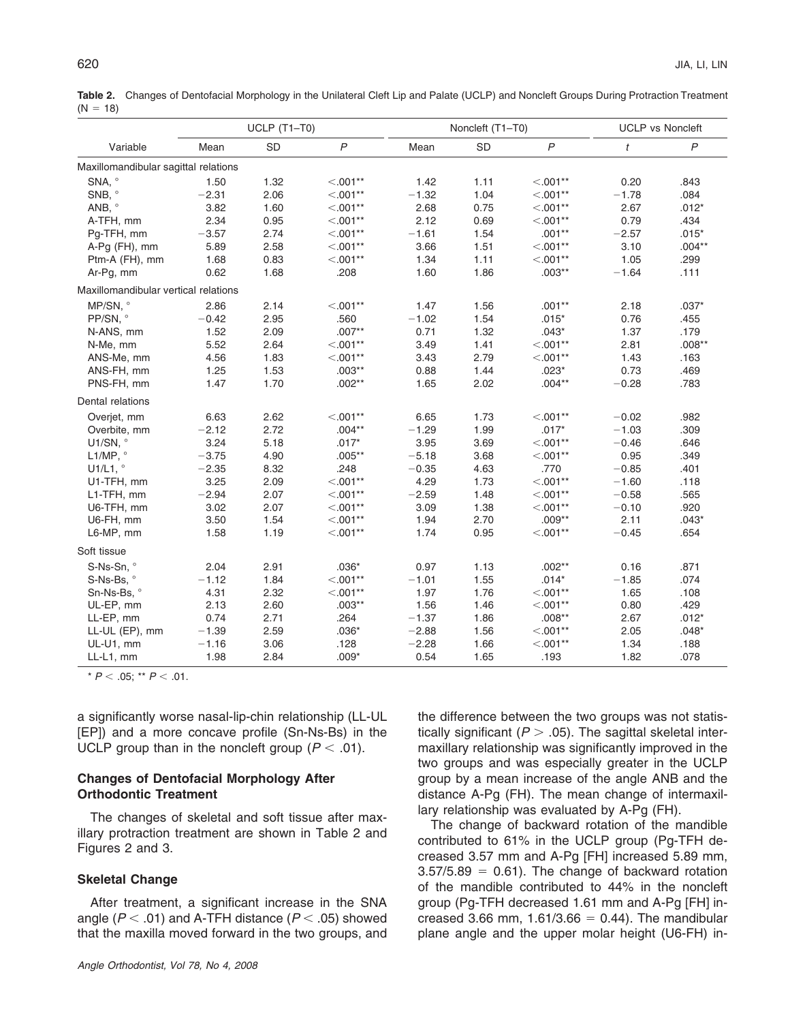Table 2. Changes of Dentofacial Morphology in the Unilateral Cleft Lip and Palate (UCLP) and Noncleft Groups During Protraction Treatment  $(N = 18)$ 

|                                      | $UCLP(T1-T0)$ |           |                | Noncleft (T1-T0) |           |                | <b>UCLP vs Noncleft</b> |                |  |  |  |  |
|--------------------------------------|---------------|-----------|----------------|------------------|-----------|----------------|-------------------------|----------------|--|--|--|--|
| Variable                             | Mean          | <b>SD</b> | $\overline{P}$ | Mean             | <b>SD</b> | $\overline{P}$ | $\boldsymbol{t}$        | $\overline{P}$ |  |  |  |  |
| Maxillomandibular sagittal relations |               |           |                |                  |           |                |                         |                |  |  |  |  |
| SNA, °                               | 1.50          | 1.32      | $< .001**$     | 1.42             | 1.11      | $< .001**$     | 0.20                    | .843           |  |  |  |  |
| SNB, °                               | $-2.31$       | 2.06      | $< .001**$     | $-1.32$          | 1.04      | $< .001**$     | $-1.78$                 | .084           |  |  |  |  |
| ANB, $\degree$                       | 3.82          | 1.60      | $< .001**$     | 2.68             | 0.75      | $< .001**$     | 2.67                    | $.012*$        |  |  |  |  |
| A-TFH, mm                            | 2.34          | 0.95      | $< .001**$     | 2.12             | 0.69      | $< .001**$     | 0.79                    | .434           |  |  |  |  |
| Pg-TFH, mm                           | $-3.57$       | 2.74      | $< .001**$     | $-1.61$          | 1.54      | $.001**$       | $-2.57$                 | $.015*$        |  |  |  |  |
| A-Pg (FH), mm                        | 5.89          | 2.58      | $< .001**$     | 3.66             | 1.51      | $< .001**$     | 3.10                    | $.004***$      |  |  |  |  |
| Ptm-A (FH), mm                       | 1.68          | 0.83      | $< .001**$     | 1.34             | 1.11      | $< .001**$     | 1.05                    | .299           |  |  |  |  |
| Ar-Pg, mm                            | 0.62          | 1.68      | .208           | 1.60             | 1.86      | $.003**$       | $-1.64$                 | .111           |  |  |  |  |
| Maxillomandibular vertical relations |               |           |                |                  |           |                |                         |                |  |  |  |  |
| MP/SN, °                             | 2.86          | 2.14      | $< .001**$     | 1.47             | 1.56      | $.001**$       | 2.18                    | $.037*$        |  |  |  |  |
| PP/SN, °                             | $-0.42$       | 2.95      | .560           | $-1.02$          | 1.54      | $.015*$        | 0.76                    | .455           |  |  |  |  |
| N-ANS, mm                            | 1.52          | 2.09      | $.007**$       | 0.71             | 1.32      | $.043*$        | 1.37                    | .179           |  |  |  |  |
| N-Me, mm                             | 5.52          | 2.64      | $< .001**$     | 3.49             | 1.41      | $< .001**$     | 2.81                    | $.008**$       |  |  |  |  |
| ANS-Me, mm                           | 4.56          | 1.83      | $< .001**$     | 3.43             | 2.79      | $< .001**$     | 1.43                    | .163           |  |  |  |  |
| ANS-FH, mm                           | 1.25          | 1.53      | $.003**$       | 0.88             | 1.44      | $.023*$        | 0.73                    | .469           |  |  |  |  |
| PNS-FH, mm                           | 1.47          | 1.70      | $.002**$       | 1.65             | 2.02      | $.004**$       | $-0.28$                 | .783           |  |  |  |  |
| Dental relations                     |               |           |                |                  |           |                |                         |                |  |  |  |  |
| Overjet, mm                          | 6.63          | 2.62      | $< .001**$     | 6.65             | 1.73      | $< .001**$     | $-0.02$                 | .982           |  |  |  |  |
| Overbite, mm                         | $-2.12$       | 2.72      | $.004**$       | $-1.29$          | 1.99      | $.017*$        | $-1.03$                 | .309           |  |  |  |  |
| U1/SN, °                             | 3.24          | 5.18      | $.017*$        | 3.95             | 3.69      | $< .001**$     | $-0.46$                 | .646           |  |  |  |  |
| L1/MP, $^{\circ}$                    | $-3.75$       | 4.90      | $.005**$       | $-5.18$          | 3.68      | $< .001**$     | 0.95                    | .349           |  |  |  |  |
| U1/L1, $^{\circ}$                    | $-2.35$       | 8.32      | .248           | $-0.35$          | 4.63      | .770           | $-0.85$                 | .401           |  |  |  |  |
| U1-TFH, mm                           | 3.25          | 2.09      | $< .001**$     | 4.29             | 1.73      | $< .001**$     | $-1.60$                 | .118           |  |  |  |  |
| L1-TFH, mm                           | $-2.94$       | 2.07      | $< .001**$     | $-2.59$          | 1.48      | $< .001**$     | $-0.58$                 | .565           |  |  |  |  |
| U6-TFH, mm                           | 3.02          | 2.07      | $< .001**$     | 3.09             | 1.38      | $< .001**$     | $-0.10$                 | .920           |  |  |  |  |
| U6-FH, mm                            | 3.50          | 1.54      | $< .001**$     | 1.94             | 2.70      | $.009**$       | 2.11                    | $.043*$        |  |  |  |  |
| L6-MP, mm                            | 1.58          | 1.19      | $< .001**$     | 1.74             | 0.95      | $< .001**$     | $-0.45$                 | .654           |  |  |  |  |
| Soft tissue                          |               |           |                |                  |           |                |                         |                |  |  |  |  |
| S-Ns-Sn, °                           | 2.04          | 2.91      | $.036*$        | 0.97             | 1.13      | $.002**$       | 0.16                    | .871           |  |  |  |  |
| S-Ns-Bs, °                           | $-1.12$       | 1.84      | $< .001**$     | $-1.01$          | 1.55      | $.014*$        | $-1.85$                 | .074           |  |  |  |  |
| Sn-Ns-Bs, °                          | 4.31          | 2.32      | $< .001**$     | 1.97             | 1.76      | $< .001**$     | 1.65                    | .108           |  |  |  |  |
| UL-EP, mm                            | 2.13          | 2.60      | $.003**$       | 1.56             | 1.46      | $< .001**$     | 0.80                    | .429           |  |  |  |  |
| LL-EP, mm                            | 0.74          | 2.71      | .264           | $-1.37$          | 1.86      | $.008**$       | 2.67                    | $.012*$        |  |  |  |  |
| LL-UL (EP), mm                       | $-1.39$       | 2.59      | $.036*$        | $-2.88$          | 1.56      | $< .001**$     | 2.05                    | $.048*$        |  |  |  |  |
| UL-U1, mm                            | $-1.16$       | 3.06      | .128           | $-2.28$          | 1.66      | $< .001**$     | 1.34                    | .188           |  |  |  |  |
| LL-L1, mm                            | 1.98          | 2.84      | $.009*$        | 0.54             | 1.65      | .193           | 1.82                    | .078           |  |  |  |  |

 $*$  *P* < .05;  $*$  *P* < .01.

a significantly worse nasal-lip-chin relationship (LL-UL [EP]) and a more concave profile (Sn-Ns-Bs) in the UCLP group than in the noncleft group  $(P < .01)$ .

## **Changes of Dentofacial Morphology After Orthodontic Treatment**

The changes of skeletal and soft tissue after maxillary protraction treatment are shown in Table 2 and Figures 2 and 3.

## **Skeletal Change**

After treatment, a significant increase in the SNA angle  $(P < .01)$  and A-TFH distance  $(P < .05)$  showed that the maxilla moved forward in the two groups, and

the difference between the two groups was not statistically significant  $(P > .05)$ . The sagittal skeletal intermaxillary relationship was significantly improved in the two groups and was especially greater in the UCLP group by a mean increase of the angle ANB and the distance A-Pg (FH). The mean change of intermaxillary relationship was evaluated by A-Pg (FH).

The change of backward rotation of the mandible contributed to 61% in the UCLP group (Pg-TFH decreased 3.57 mm and A-Pg [FH] increased 5.89 mm,  $3.57/5.89 = 0.61$ . The change of backward rotation of the mandible contributed to 44% in the noncleft group (Pg-TFH decreased 1.61 mm and A-Pg [FH] increased 3.66 mm,  $1.61/3.66 = 0.44$ ). The mandibular plane angle and the upper molar height (U6-FH) in-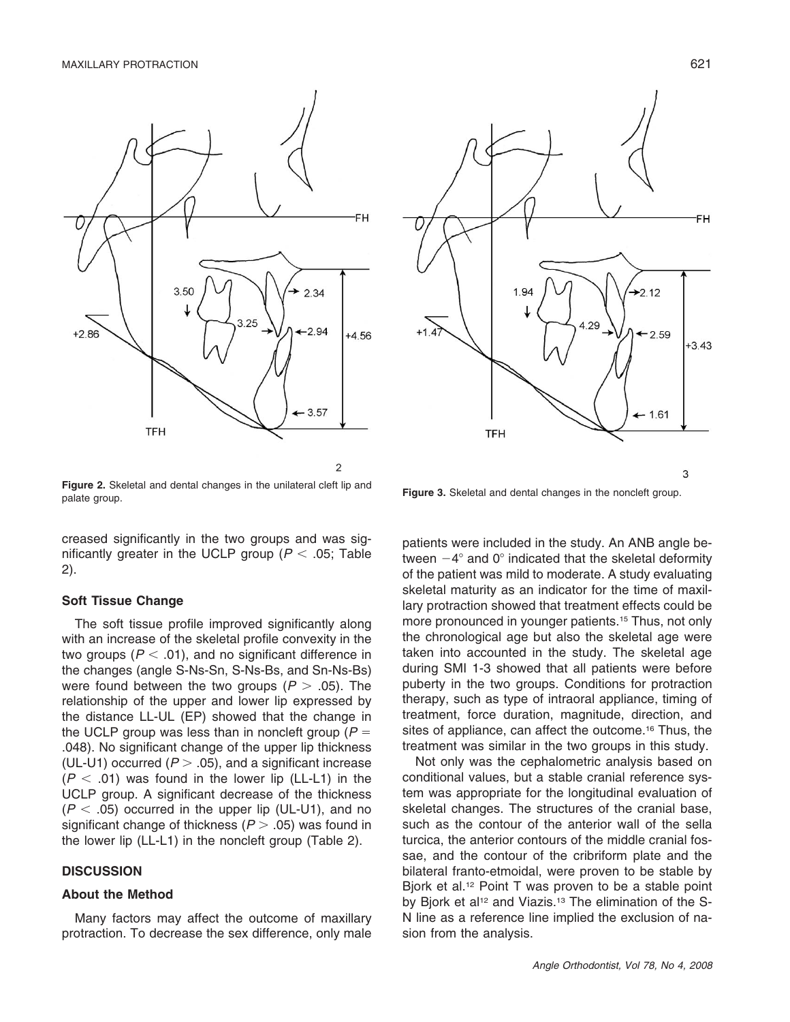

**Figure 2.** Skeletal and dental changes in the unilateral cleft lip and **Figure 3.** Skeletal and dental changes in the noncleft group.<br> **Figure 3.** Skeletal and dental changes in the noncleft group.

creased significantly in the two groups and was significantly greater in the UCLP group ( $P < .05$ ; Table 2).

#### **Soft Tissue Change**

The soft tissue profile improved significantly along with an increase of the skeletal profile convexity in the two groups ( $P < .01$ ), and no significant difference in the changes (angle S-Ns-Sn, S-Ns-Bs, and Sn-Ns-Bs) were found between the two groups  $(P > .05)$ . The relationship of the upper and lower lip expressed by the distance LL-UL (EP) showed that the change in the UCLP group was less than in noncleft group (*P* .048). No significant change of the upper lip thickness (UL-U1) occurred  $(P > .05)$ , and a significant increase  $(P < .01)$  was found in the lower lip (LL-L1) in the UCLP group. A significant decrease of the thickness  $(P < .05)$  occurred in the upper lip (UL-U1), and no significant change of thickness  $(P > .05)$  was found in the lower lip (LL-L1) in the noncleft group (Table 2).

#### **DISCUSSION**

## **About the Method**

Many factors may affect the outcome of maxillary protraction. To decrease the sex difference, only male



patients were included in the study. An ANB angle between  $-4^{\circ}$  and 0° indicated that the skeletal deformity of the patient was mild to moderate. A study evaluating skeletal maturity as an indicator for the time of maxillary protraction showed that treatment effects could be more pronounced in younger patients.<sup>15</sup> Thus, not only the chronological age but also the skeletal age were taken into accounted in the study. The skeletal age during SMI 1-3 showed that all patients were before puberty in the two groups. Conditions for protraction therapy, such as type of intraoral appliance, timing of treatment, force duration, magnitude, direction, and sites of appliance, can affect the outcome.<sup>16</sup> Thus, the treatment was similar in the two groups in this study.

Not only was the cephalometric analysis based on conditional values, but a stable cranial reference system was appropriate for the longitudinal evaluation of skeletal changes. The structures of the cranial base, such as the contour of the anterior wall of the sella turcica, the anterior contours of the middle cranial fossae, and the contour of the cribriform plate and the bilateral franto-etmoidal, were proven to be stable by Bjork et al.<sup>12</sup> Point T was proven to be a stable point by Bjork et al<sup>12</sup> and Viazis.<sup>13</sup> The elimination of the S-N line as a reference line implied the exclusion of nasion from the analysis.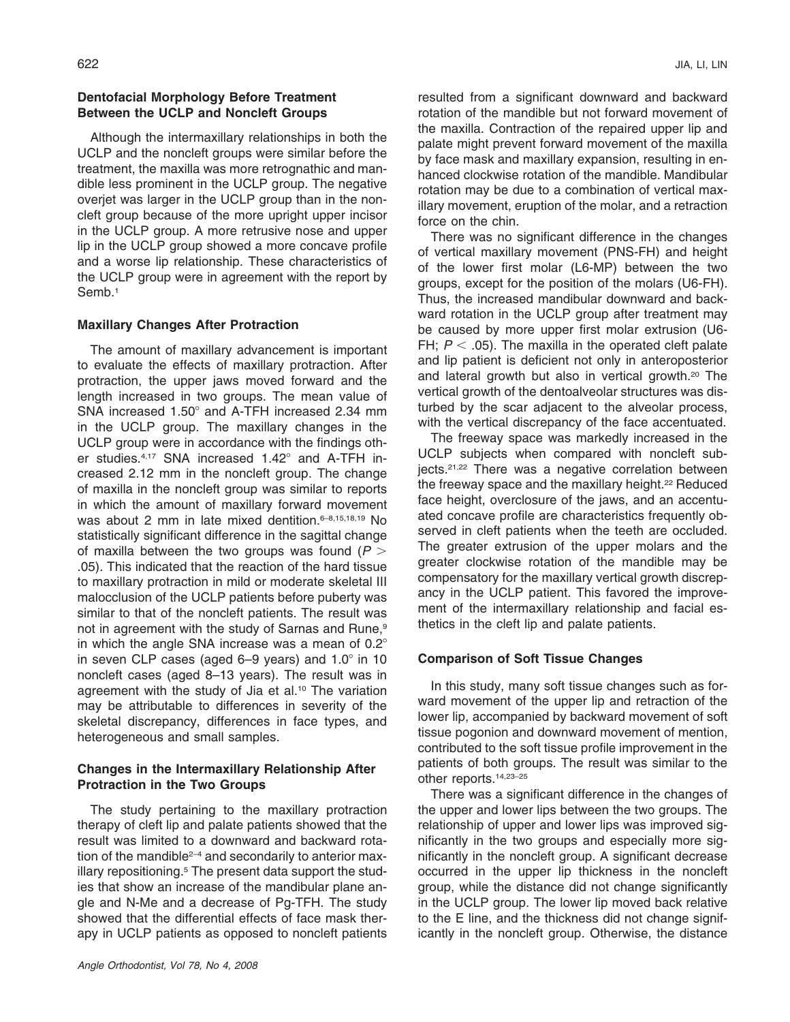Although the intermaxillary relationships in both the UCLP and the noncleft groups were similar before the treatment, the maxilla was more retrognathic and mandible less prominent in the UCLP group. The negative overjet was larger in the UCLP group than in the noncleft group because of the more upright upper incisor in the UCLP group. A more retrusive nose and upper lip in the UCLP group showed a more concave profile and a worse lip relationship. These characteristics of the UCLP group were in agreement with the report by Semb.<sup>1</sup>

# **Maxillary Changes After Protraction**

The amount of maxillary advancement is important to evaluate the effects of maxillary protraction. After protraction, the upper jaws moved forward and the length increased in two groups. The mean value of SNA increased 1.50° and A-TFH increased 2.34 mm in the UCLP group. The maxillary changes in the UCLP group were in accordance with the findings other studies. $4,17$  SNA increased 1.42 $^{\circ}$  and A-TFH increased 2.12 mm in the noncleft group. The change of maxilla in the noncleft group was similar to reports in which the amount of maxillary forward movement was about 2 mm in late mixed dentition.<sup>6-8,15,18,19</sup> No statistically significant difference in the sagittal change of maxilla between the two groups was found (*P* .05). This indicated that the reaction of the hard tissue to maxillary protraction in mild or moderate skeletal III malocclusion of the UCLP patients before puberty was similar to that of the noncleft patients. The result was not in agreement with the study of Sarnas and Rune,<sup>9</sup> in which the angle SNA increase was a mean of  $0.2^{\circ}$ in seven CLP cases (aged  $6-9$  years) and  $1.0^\circ$  in 10 noncleft cases (aged 8–13 years). The result was in agreement with the study of Jia et al.10 The variation may be attributable to differences in severity of the skeletal discrepancy, differences in face types, and heterogeneous and small samples.

# **Changes in the Intermaxillary Relationship After Protraction in the Two Groups**

The study pertaining to the maxillary protraction therapy of cleft lip and palate patients showed that the result was limited to a downward and backward rotation of the mandible<sup>2-4</sup> and secondarily to anterior maxillary repositioning.<sup>5</sup> The present data support the studies that show an increase of the mandibular plane angle and N-Me and a decrease of Pg-TFH. The study showed that the differential effects of face mask therapy in UCLP patients as opposed to noncleft patients resulted from a significant downward and backward rotation of the mandible but not forward movement of the maxilla. Contraction of the repaired upper lip and palate might prevent forward movement of the maxilla by face mask and maxillary expansion, resulting in enhanced clockwise rotation of the mandible. Mandibular rotation may be due to a combination of vertical maxillary movement, eruption of the molar, and a retraction force on the chin.

There was no significant difference in the changes of vertical maxillary movement (PNS-FH) and height of the lower first molar (L6-MP) between the two groups, except for the position of the molars (U6-FH). Thus, the increased mandibular downward and backward rotation in the UCLP group after treatment may be caused by more upper first molar extrusion (U6- FH;  $P < .05$ ). The maxilla in the operated cleft palate and lip patient is deficient not only in anteroposterior and lateral growth but also in vertical growth.20 The vertical growth of the dentoalveolar structures was disturbed by the scar adjacent to the alveolar process, with the vertical discrepancy of the face accentuated.

The freeway space was markedly increased in the UCLP subjects when compared with noncleft subjects.<sup>21,22</sup> There was a negative correlation between the freeway space and the maxillary height.22 Reduced face height, overclosure of the jaws, and an accentuated concave profile are characteristics frequently observed in cleft patients when the teeth are occluded. The greater extrusion of the upper molars and the greater clockwise rotation of the mandible may be compensatory for the maxillary vertical growth discrepancy in the UCLP patient. This favored the improvement of the intermaxillary relationship and facial esthetics in the cleft lip and palate patients.

## **Comparison of Soft Tissue Changes**

In this study, many soft tissue changes such as forward movement of the upper lip and retraction of the lower lip, accompanied by backward movement of soft tissue pogonion and downward movement of mention, contributed to the soft tissue profile improvement in the patients of both groups. The result was similar to the other reports.14,23–25

There was a significant difference in the changes of the upper and lower lips between the two groups. The relationship of upper and lower lips was improved significantly in the two groups and especially more significantly in the noncleft group. A significant decrease occurred in the upper lip thickness in the noncleft group, while the distance did not change significantly in the UCLP group. The lower lip moved back relative to the E line, and the thickness did not change significantly in the noncleft group. Otherwise, the distance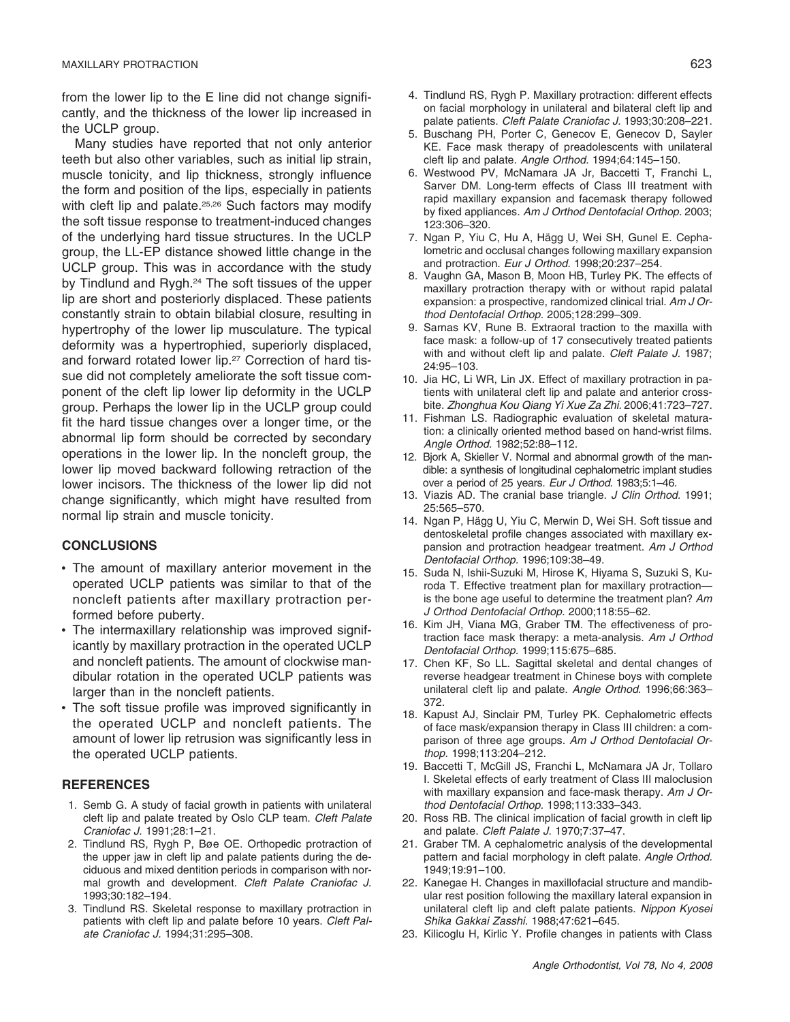from the lower lip to the E line did not change significantly, and the thickness of the lower lip increased in the UCLP group.

Many studies have reported that not only anterior teeth but also other variables, such as initial lip strain, muscle tonicity, and lip thickness, strongly influence the form and position of the lips, especially in patients with cleft lip and palate.<sup>25,26</sup> Such factors may modify the soft tissue response to treatment-induced changes of the underlying hard tissue structures. In the UCLP group, the LL-EP distance showed little change in the UCLP group. This was in accordance with the study by Tindlund and Rygh.<sup>24</sup> The soft tissues of the upper lip are short and posteriorly displaced. These patients constantly strain to obtain bilabial closure, resulting in hypertrophy of the lower lip musculature. The typical deformity was a hypertrophied, superiorly displaced, and forward rotated lower lip.<sup>27</sup> Correction of hard tissue did not completely ameliorate the soft tissue component of the cleft lip lower lip deformity in the UCLP group. Perhaps the lower lip in the UCLP group could fit the hard tissue changes over a longer time, or the abnormal lip form should be corrected by secondary operations in the lower lip. In the noncleft group, the lower lip moved backward following retraction of the lower incisors. The thickness of the lower lip did not change significantly, which might have resulted from normal lip strain and muscle tonicity.

#### **CONCLUSIONS**

- The amount of maxillary anterior movement in the operated UCLP patients was similar to that of the noncleft patients after maxillary protraction performed before puberty.
- The intermaxillary relationship was improved significantly by maxillary protraction in the operated UCLP and noncleft patients. The amount of clockwise mandibular rotation in the operated UCLP patients was larger than in the noncleft patients.
- The soft tissue profile was improved significantly in the operated UCLP and noncleft patients. The amount of lower lip retrusion was significantly less in the operated UCLP patients.

### **REFERENCES**

- 1. Semb G. A study of facial growth in patients with unilateral cleft lip and palate treated by Oslo CLP team. *Cleft Palate Craniofac J.* 1991;28:1–21.
- 2. Tindlund RS, Rygh P, Bøe OE. Orthopedic protraction of the upper jaw in cleft lip and palate patients during the deciduous and mixed dentition periods in comparison with normal growth and development. *Cleft Palate Craniofac J.* 1993;30:182–194.
- 3. Tindlund RS. Skeletal response to maxillary protraction in patients with cleft lip and palate before 10 years. *Cleft Palate Craniofac J.* 1994;31:295–308.
- 4. Tindlund RS, Rygh P. Maxillary protraction: different effects on facial morphology in unilateral and bilateral cleft lip and palate patients. *Cleft Palate Craniofac J.* 1993;30:208–221.
- 5. Buschang PH, Porter C, Genecov E, Genecov D, Sayler KE. Face mask therapy of preadolescents with unilateral cleft lip and palate. *Angle Orthod.* 1994;64:145–150.
- 6. Westwood PV, McNamara JA Jr, Baccetti T, Franchi L, Sarver DM. Long-term effects of Class III treatment with rapid maxillary expansion and facemask therapy followed by fixed appliances. *Am J Orthod Dentofacial Orthop.* 2003; 123:306–320.
- 7. Ngan P, Yiu C, Hu A, Hägg U, Wei SH, Gunel E. Cephalometric and occlusal changes following maxillary expansion and protraction. *Eur J Orthod.* 1998;20:237–254.
- 8. Vaughn GA, Mason B, Moon HB, Turley PK. The effects of maxillary protraction therapy with or without rapid palatal expansion: a prospective, randomized clinical trial. *Am J Orthod Dentofacial Orthop.* 2005;128:299–309.
- 9. Sarnas KV, Rune B. Extraoral traction to the maxilla with face mask: a follow-up of 17 consecutively treated patients with and without cleft lip and palate. *Cleft Palate J.* 1987; 24:95–103.
- 10. Jia HC, Li WR, Lin JX. Effect of maxillary protraction in patients with unilateral cleft lip and palate and anterior crossbite. *Zhonghua Kou Qiang Yi Xue Za Zhi.* 2006;41:723–727.
- 11. Fishman LS. Radiographic evaluation of skeletal maturation: a clinically oriented method based on hand-wrist films. *Angle Orthod.* 1982;52:88–112.
- 12. Biork A, Skieller V, Normal and abnormal growth of the mandible: a synthesis of longitudinal cephalometric implant studies over a period of 25 years. *Eur J Orthod.* 1983;5:1–46.
- 13. Viazis AD. The cranial base triangle. *J Clin Orthod.* 1991; 25:565–570.
- 14. Ngan P, Hägg U, Yiu C, Merwin D, Wei SH. Soft tissue and dentoskeletal profile changes associated with maxillary expansion and protraction headgear treatment. *Am J Orthod Dentofacial Orthop.* 1996;109:38–49.
- 15. Suda N, Ishii-Suzuki M, Hirose K, Hiyama S, Suzuki S, Kuroda T. Effective treatment plan for maxillary protraction is the bone age useful to determine the treatment plan? *Am J Orthod Dentofacial Orthop.* 2000;118:55–62.
- 16. Kim JH, Viana MG, Graber TM. The effectiveness of protraction face mask therapy: a meta-analysis. *Am J Orthod Dentofacial Orthop.* 1999;115:675–685.
- 17. Chen KF, So LL. Sagittal skeletal and dental changes of reverse headgear treatment in Chinese boys with complete unilateral cleft lip and palate. *Angle Orthod.* 1996;66:363– 372.
- 18. Kapust AJ, Sinclair PM, Turley PK. Cephalometric effects of face mask/expansion therapy in Class III children: a comparison of three age groups. *Am J Orthod Dentofacial Orthop.* 1998;113:204–212.
- 19. Baccetti T, McGill JS, Franchi L, McNamara JA Jr, Tollaro I. Skeletal effects of early treatment of Class III maloclusion with maxillary expansion and face-mask therapy. *Am J Orthod Dentofacial Orthop.* 1998;113:333–343.
- 20. Ross RB. The clinical implication of facial growth in cleft lip and palate. *Cleft Palate J.* 1970;7:37–47.
- 21. Graber TM. A cephalometric analysis of the developmental pattern and facial morphology in cleft palate. *Angle Orthod.* 1949;19:91–100.
- 22. Kanegae H. Changes in maxillofacial structure and mandibular rest position following the maxillary lateral expansion in unilateral cleft lip and cleft palate patients. *Nippon Kyosei Shika Gakkai Zasshi.* 1988;47:621–645.
- 23. Kilicoglu H, Kirlic Y. Profile changes in patients with Class